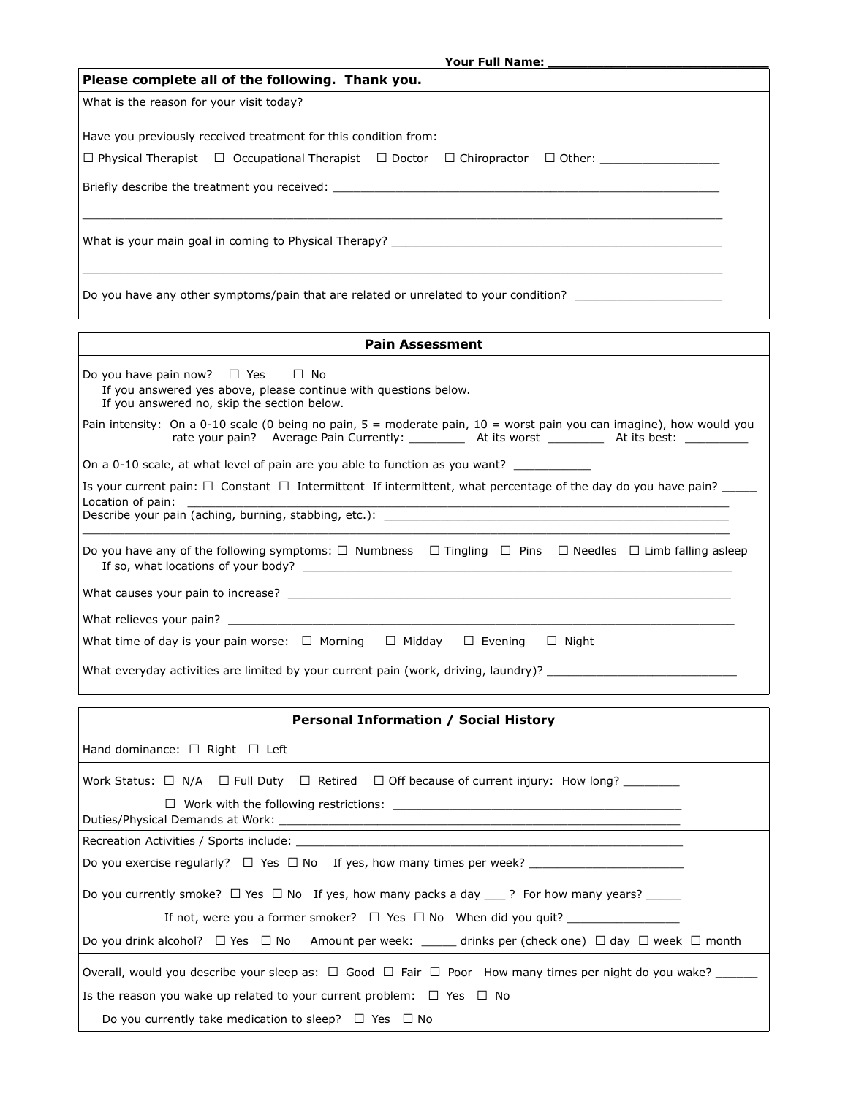| Please complete all of the following. Thank you.                                                                                                                                                                               |  |  |  |
|--------------------------------------------------------------------------------------------------------------------------------------------------------------------------------------------------------------------------------|--|--|--|
| What is the reason for your visit today?                                                                                                                                                                                       |  |  |  |
| Have you previously received treatment for this condition from:                                                                                                                                                                |  |  |  |
| $\Box$ Physical Therapist $\Box$ Occupational Therapist $\Box$ Doctor $\Box$ Chiropractor $\Box$ Other:                                                                                                                        |  |  |  |
| Briefly describe the treatment you received: Notified a state of the state of the state of the state of the state of the state of the state of the state of the state of the state of the state of the state of the state of t |  |  |  |
|                                                                                                                                                                                                                                |  |  |  |
| Do you have any other symptoms/pain that are related or unrelated to your condition?                                                                                                                                           |  |  |  |

| <b>Pain Assessment</b>                                                                                                                                                                                                           |  |  |  |  |
|----------------------------------------------------------------------------------------------------------------------------------------------------------------------------------------------------------------------------------|--|--|--|--|
| Do you have pain now? $\Box$ Yes $\Box$ No<br>If you answered yes above, please continue with questions below.<br>If you answered no, skip the section below.                                                                    |  |  |  |  |
| Pain intensity: On a 0-10 scale (0 being no pain, $5 =$ moderate pain, $10 =$ worst pain you can imagine), how would you<br>rate your pain? Average Pain Currently: ___________ At its worst ___________ At its best: __________ |  |  |  |  |
| On a 0-10 scale, at what level of pain are you able to function as you want?                                                                                                                                                     |  |  |  |  |
| Is your current pain: $\Box$ Constant $\Box$ Intermittent If intermittent, what percentage of the day do you have pain?<br>Location of pain:                                                                                     |  |  |  |  |
| Do you have any of the following symptoms: $\square$ Numbness $\square$ Tingling $\square$ Pins $\square$ Needles $\square$ Limb falling asleep                                                                                  |  |  |  |  |
|                                                                                                                                                                                                                                  |  |  |  |  |
|                                                                                                                                                                                                                                  |  |  |  |  |
| What time of day is your pain worse: $\Box$ Morning $\Box$ Midday<br>$\Box$ Evening $\Box$ Night                                                                                                                                 |  |  |  |  |
| What everyday activities are limited by your current pain (work, driving, laundry)?                                                                                                                                              |  |  |  |  |

| <b>Personal Information / Social History</b>                                                                           |  |  |  |  |
|------------------------------------------------------------------------------------------------------------------------|--|--|--|--|
| Hand dominance: $\Box$ Right $\Box$ Left                                                                               |  |  |  |  |
| Work Status: $\Box$ N/A $\Box$ Full Duty $\Box$ Retired $\Box$ Off because of current injury: How long?                |  |  |  |  |
|                                                                                                                        |  |  |  |  |
|                                                                                                                        |  |  |  |  |
|                                                                                                                        |  |  |  |  |
| Do you currently smoke? $\Box$ Yes $\Box$ No If yes, how many packs a day ___? For how many years? _____               |  |  |  |  |
| If not, were you a former smoker? $\Box$ Yes $\Box$ No When did you quit?                                              |  |  |  |  |
| Do you drink alcohol? $\Box$ Yes $\Box$ No Amount per week: drinks per (check one) $\Box$ day $\Box$ week $\Box$ month |  |  |  |  |
| Overall, would you describe your sleep as: $\Box$ Good $\Box$ Fair $\Box$ Poor How many times per night do you wake?   |  |  |  |  |
| Is the reason you wake up related to your current problem: $\Box$ Yes $\Box$ No                                        |  |  |  |  |
| Do you currently take medication to sleep? $\Box$ Yes $\Box$ No                                                        |  |  |  |  |